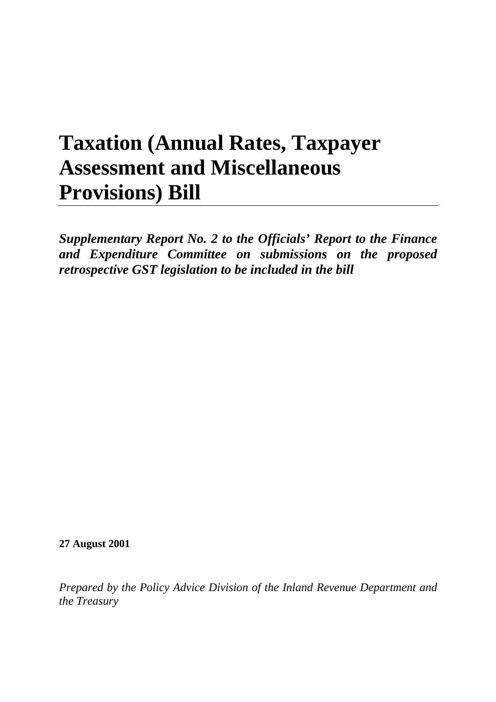# **Taxation (Annual Rates, Taxpayer Assessment and Miscellaneous Provisions) Bill**

*Supplementary Report No. 2 to the Officials' Report to the Finance and Expenditure Committee on submissions on the proposed retrospective GST legislation to be included in the bill*

**27 August 2001**

*Prepared by the Policy Advice Division of the Inland Revenue Department and the Treasury*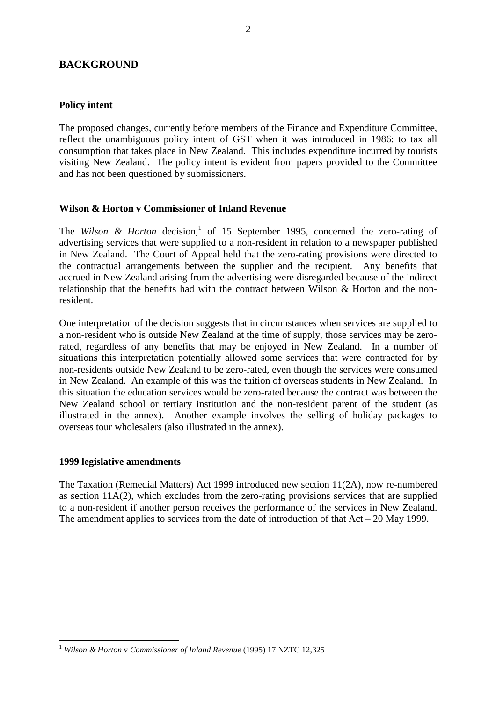# **Policy intent**

The proposed changes, currently before members of the Finance and Expenditure Committee, reflect the unambiguous policy intent of GST when it was introduced in 1986: to tax all consumption that takes place in New Zealand. This includes expenditure incurred by tourists visiting New Zealand. The policy intent is evident from papers provided to the Committee and has not been questioned by submissioners.

# **Wilson & Horton v Commissioner of Inland Revenue**

The *Wilson & Horton* decision,<sup>1</sup> of 15 September 1995, concerned the zero-rating of advertising services that were supplied to a non-resident in relation to a newspaper published in New Zealand. The Court of Appeal held that the zero-rating provisions were directed to the contractual arrangements between the supplier and the recipient. Any benefits that accrued in New Zealand arising from the advertising were disregarded because of the indirect relationship that the benefits had with the contract between Wilson & Horton and the nonresident.

One interpretation of the decision suggests that in circumstances when services are supplied to a non-resident who is outside New Zealand at the time of supply, those services may be zerorated, regardless of any benefits that may be enjoyed in New Zealand. In a number of situations this interpretation potentially allowed some services that were contracted for by non-residents outside New Zealand to be zero-rated, even though the services were consumed in New Zealand. An example of this was the tuition of overseas students in New Zealand. In this situation the education services would be zero-rated because the contract was between the New Zealand school or tertiary institution and the non-resident parent of the student (as illustrated in the annex). Another example involves the selling of holiday packages to overseas tour wholesalers (also illustrated in the annex).

# **1999 legislative amendments**

 $\overline{a}$ 

The Taxation (Remedial Matters) Act 1999 introduced new section 11(2A), now re-numbered as section 11A(2), which excludes from the zero-rating provisions services that are supplied to a non-resident if another person receives the performance of the services in New Zealand. The amendment applies to services from the date of introduction of that  $Act - 20$  May 1999.

<sup>1</sup> *Wilson & Horton* v *Commissioner of Inland Revenue* (1995) 17 NZTC 12,325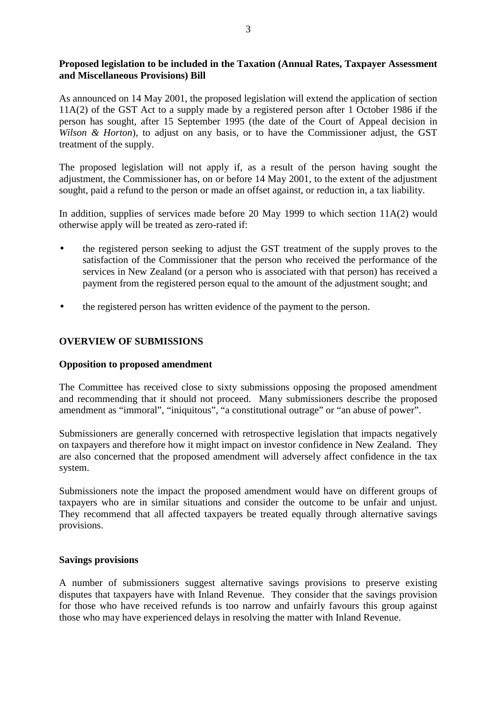# **Proposed legislation to be included in the Taxation (Annual Rates, Taxpayer Assessment and Miscellaneous Provisions) Bill**

As announced on 14 May 2001, the proposed legislation will extend the application of section 11A(2) of the GST Act to a supply made by a registered person after 1 October 1986 if the person has sought, after 15 September 1995 (the date of the Court of Appeal decision in *Wilson & Horton*), to adjust on any basis, or to have the Commissioner adjust, the GST treatment of the supply.

The proposed legislation will not apply if, as a result of the person having sought the adjustment, the Commissioner has, on or before 14 May 2001, to the extent of the adjustment sought, paid a refund to the person or made an offset against, or reduction in, a tax liability.

In addition, supplies of services made before 20 May 1999 to which section 11A(2) would otherwise apply will be treated as zero-rated if:

- the registered person seeking to adjust the GST treatment of the supply proves to the satisfaction of the Commissioner that the person who received the performance of the services in New Zealand (or a person who is associated with that person) has received a payment from the registered person equal to the amount of the adjustment sought; and
- the registered person has written evidence of the payment to the person.

# **OVERVIEW OF SUBMISSIONS**

# **Opposition to proposed amendment**

The Committee has received close to sixty submissions opposing the proposed amendment and recommending that it should not proceed. Many submissioners describe the proposed amendment as "immoral", "iniquitous", "a constitutional outrage" or "an abuse of power".

Submissioners are generally concerned with retrospective legislation that impacts negatively on taxpayers and therefore how it might impact on investor confidence in New Zealand. They are also concerned that the proposed amendment will adversely affect confidence in the tax system.

Submissioners note the impact the proposed amendment would have on different groups of taxpayers who are in similar situations and consider the outcome to be unfair and unjust. They recommend that all affected taxpayers be treated equally through alternative savings provisions.

#### **Savings provisions**

A number of submissioners suggest alternative savings provisions to preserve existing disputes that taxpayers have with Inland Revenue. They consider that the savings provision for those who have received refunds is too narrow and unfairly favours this group against those who may have experienced delays in resolving the matter with Inland Revenue.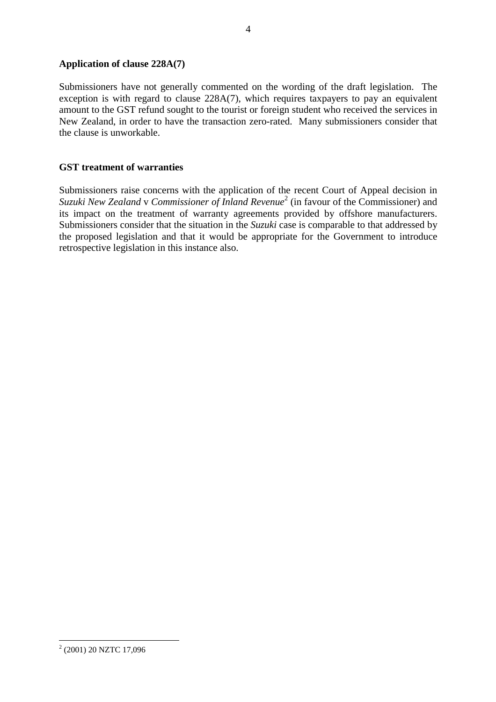# **Application of clause 228A(7)**

Submissioners have not generally commented on the wording of the draft legislation. The exception is with regard to clause 228A(7), which requires taxpayers to pay an equivalent amount to the GST refund sought to the tourist or foreign student who received the services in New Zealand, in order to have the transaction zero-rated. Many submissioners consider that the clause is unworkable.

# **GST treatment of warranties**

Submissioners raise concerns with the application of the recent Court of Appeal decision in *Suzuki New Zealand* v *Commissioner of Inland Revenue*<sup>2</sup> (in favour of the Commissioner) and its impact on the treatment of warranty agreements provided by offshore manufacturers. Submissioners consider that the situation in the *Suzuki* case is comparable to that addressed by the proposed legislation and that it would be appropriate for the Government to introduce retrospective legislation in this instance also.

 $\overline{a}$ 

<sup>&</sup>lt;sup>2</sup> (2001) 20 NZTC 17,096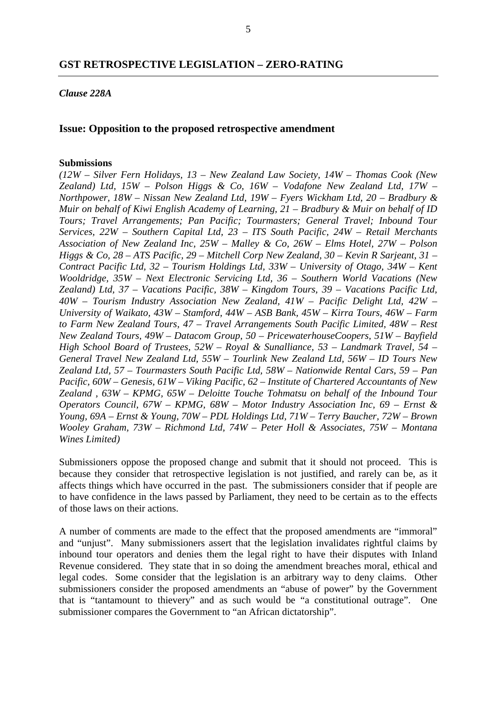#### *Clause 228A*

#### **Issue: Opposition to the proposed retrospective amendment**

#### **Submissions**

*(12W – Silver Fern Holidays, 13 – New Zealand Law Society, 14W – Thomas Cook (New Zealand) Ltd, 15W – Polson Higgs & Co, 16W – Vodafone New Zealand Ltd, 17W – Northpower, 18W – Nissan New Zealand Ltd, 19W – Fyers Wickham Ltd, 20 – Bradbury & Muir on behalf of Kiwi English Academy of Learning, 21 – Bradbury & Muir on behalf of ID Tours; Travel Arrangements; Pan Pacific; Tourmasters; General Travel; Inbound Tour Services, 22W – Southern Capital Ltd, 23 – ITS South Pacific, 24W – Retail Merchants Association of New Zealand Inc, 25W – Malley & Co, 26W – Elms Hotel, 27W – Polson Higgs & Co, 28 – ATS Pacific, 29 – Mitchell Corp New Zealand, 30 – Kevin R Sarjeant, 31 – Contract Pacific Ltd, 32 – Tourism Holdings Ltd, 33W – University of Otago, 34W – Kent Wooldridge, 35W – Next Electronic Servicing Ltd, 36 – Southern World Vacations (New Zealand) Ltd, 37 – Vacations Pacific, 38W – Kingdom Tours, 39 – Vacations Pacific Ltd, 40W – Tourism Industry Association New Zealand, 41W – Pacific Delight Ltd, 42W – University of Waikato, 43W – Stamford, 44W – ASB Bank, 45W – Kirra Tours, 46W – Farm to Farm New Zealand Tours, 47 – Travel Arrangements South Pacific Limited, 48W – Rest New Zealand Tours, 49W – Datacom Group, 50 – PricewaterhouseCoopers, 51W – Bayfield High School Board of Trustees, 52W – Royal & Sunalliance, 53 – Landmark Travel, 54 – General Travel New Zealand Ltd, 55W – Tourlink New Zealand Ltd, 56W – ID Tours New Zealand Ltd, 57 – Tourmasters South Pacific Ltd, 58W – Nationwide Rental Cars, 59 – Pan Pacific, 60W – Genesis, 61W – Viking Pacific, 62 – Institute of Chartered Accountants of New Zealand , 63W – KPMG, 65W – Deloitte Touche Tohmatsu on behalf of the Inbound Tour Operators Council, 67W – KPMG, 68W – Motor Industry Association Inc, 69 – Ernst & Young, 69A – Ernst & Young, 70W – PDL Holdings Ltd, 71W – Terry Baucher, 72W – Brown Wooley Graham, 73W – Richmond Ltd, 74W – Peter Holl & Associates, 75W – Montana Wines Limited)*

Submissioners oppose the proposed change and submit that it should not proceed. This is because they consider that retrospective legislation is not justified, and rarely can be, as it affects things which have occurred in the past. The submissioners consider that if people are to have confidence in the laws passed by Parliament, they need to be certain as to the effects of those laws on their actions.

A number of comments are made to the effect that the proposed amendments are "immoral" and "unjust". Many submissioners assert that the legislation invalidates rightful claims by inbound tour operators and denies them the legal right to have their disputes with Inland Revenue considered. They state that in so doing the amendment breaches moral, ethical and legal codes. Some consider that the legislation is an arbitrary way to deny claims. Other submissioners consider the proposed amendments an "abuse of power" by the Government that is "tantamount to thievery" and as such would be "a constitutional outrage". One submissioner compares the Government to "an African dictatorship".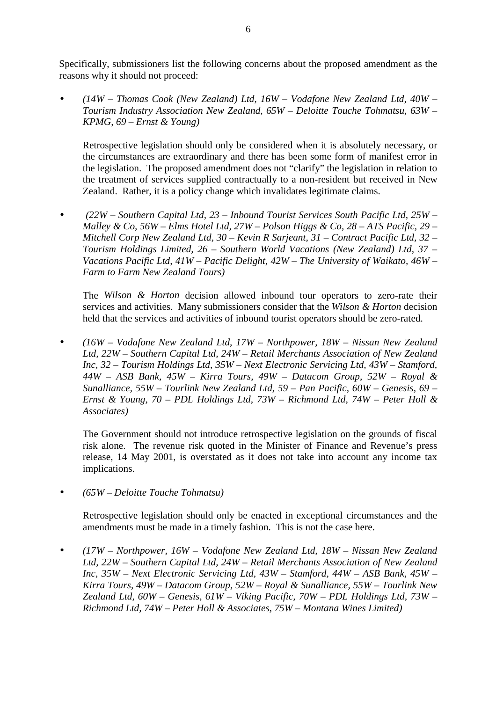Specifically, submissioners list the following concerns about the proposed amendment as the reasons why it should not proceed:

• *(14W – Thomas Cook (New Zealand) Ltd, 16W – Vodafone New Zealand Ltd, 40W – Tourism Industry Association New Zealand, 65W – Deloitte Touche Tohmatsu, 63W – KPMG, 69 – Ernst & Young)*

Retrospective legislation should only be considered when it is absolutely necessary, or the circumstances are extraordinary and there has been some form of manifest error in the legislation. The proposed amendment does not "clarify" the legislation in relation to the treatment of services supplied contractually to a non-resident but received in New Zealand. Rather, it is a policy change which invalidates legitimate claims.

• *(22W – Southern Capital Ltd, 23 – Inbound Tourist Services South Pacific Ltd, 25W – Malley & Co, 56W – Elms Hotel Ltd, 27W – Polson Higgs & Co, 28 – ATS Pacific, 29 – Mitchell Corp New Zealand Ltd, 30 – Kevin R Sarjeant, 31 – Contract Pacific Ltd, 32 – Tourism Holdings Limited, 26 – Southern World Vacations (New Zealand) Ltd, 37 – Vacations Pacific Ltd, 41W – Pacific Delight, 42W – The University of Waikato, 46W – Farm to Farm New Zealand Tours)*

The *Wilson & Horton* decision allowed inbound tour operators to zero-rate their services and activities. Many submissioners consider that the *Wilson & Horton* decision held that the services and activities of inbound tourist operators should be zero-rated.

• *(16W – Vodafone New Zealand Ltd, 17W – Northpower, 18W – Nissan New Zealand Ltd, 22W – Southern Capital Ltd, 24W – Retail Merchants Association of New Zealand Inc, 32 – Tourism Holdings Ltd, 35W – Next Electronic Servicing Ltd, 43W – Stamford, 44W – ASB Bank, 45W – Kirra Tours, 49W – Datacom Group, 52W – Royal & Sunalliance, 55W – Tourlink New Zealand Ltd, 59 – Pan Pacific, 60W – Genesis, 69 – Ernst & Young, 70 – PDL Holdings Ltd, 73W – Richmond Ltd, 74W – Peter Holl & Associates)*

The Government should not introduce retrospective legislation on the grounds of fiscal risk alone. The revenue risk quoted in the Minister of Finance and Revenue's press release, 14 May 2001, is overstated as it does not take into account any income tax implications.

• *(65W – Deloitte Touche Tohmatsu)*

Retrospective legislation should only be enacted in exceptional circumstances and the amendments must be made in a timely fashion. This is not the case here.

• *(17W – Northpower, 16W – Vodafone New Zealand Ltd, 18W – Nissan New Zealand Ltd, 22W – Southern Capital Ltd, 24W – Retail Merchants Association of New Zealand Inc, 35W – Next Electronic Servicing Ltd, 43W – Stamford, 44W – ASB Bank, 45W – Kirra Tours, 49W – Datacom Group, 52W – Royal & Sunalliance, 55W – Tourlink New Zealand Ltd, 60W – Genesis, 61W – Viking Pacific, 70W – PDL Holdings Ltd, 73W – Richmond Ltd, 74W – Peter Holl & Associates, 75W – Montana Wines Limited)*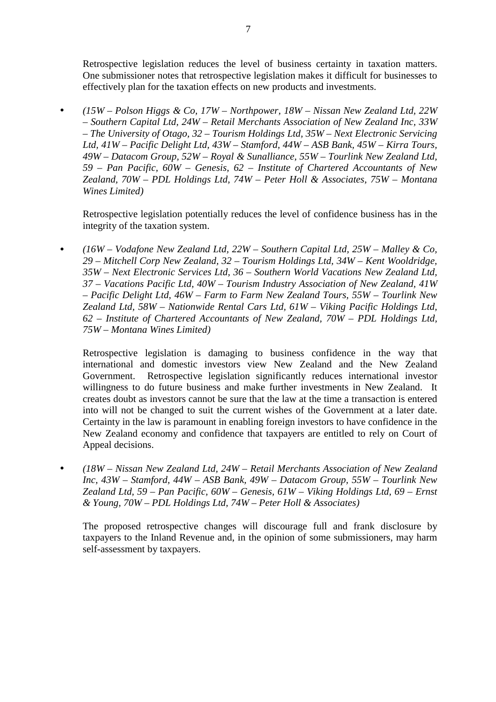Retrospective legislation reduces the level of business certainty in taxation matters. One submissioner notes that retrospective legislation makes it difficult for businesses to effectively plan for the taxation effects on new products and investments.

• *(15W – Polson Higgs & Co, 17W – Northpower, 18W – Nissan New Zealand Ltd, 22W – Southern Capital Ltd, 24W – Retail Merchants Association of New Zealand Inc, 33W – The University of Otago, 32 – Tourism Holdings Ltd, 35W – Next Electronic Servicing Ltd, 41W – Pacific Delight Ltd, 43W – Stamford, 44W – ASB Bank, 45W – Kirra Tours, 49W – Datacom Group, 52W – Royal & Sunalliance, 55W – Tourlink New Zealand Ltd, 59 – Pan Pacific, 60W – Genesis, 62 – Institute of Chartered Accountants of New Zealand, 70W – PDL Holdings Ltd, 74W – Peter Holl & Associates, 75W – Montana Wines Limited)*

Retrospective legislation potentially reduces the level of confidence business has in the integrity of the taxation system.

• *(16W – Vodafone New Zealand Ltd, 22W – Southern Capital Ltd, 25W – Malley & Co, 29 – Mitchell Corp New Zealand, 32 – Tourism Holdings Ltd, 34W – Kent Wooldridge, 35W – Next Electronic Services Ltd, 36 – Southern World Vacations New Zealand Ltd, 37 – Vacations Pacific Ltd, 40W – Tourism Industry Association of New Zealand, 41W – Pacific Delight Ltd, 46W – Farm to Farm New Zealand Tours, 55W – Tourlink New Zealand Ltd, 58W – Nationwide Rental Cars Ltd, 61W – Viking Pacific Holdings Ltd, 62 – Institute of Chartered Accountants of New Zealand, 70W – PDL Holdings Ltd, 75W – Montana Wines Limited)*

Retrospective legislation is damaging to business confidence in the way that international and domestic investors view New Zealand and the New Zealand Government. Retrospective legislation significantly reduces international investor willingness to do future business and make further investments in New Zealand. It creates doubt as investors cannot be sure that the law at the time a transaction is entered into will not be changed to suit the current wishes of the Government at a later date. Certainty in the law is paramount in enabling foreign investors to have confidence in the New Zealand economy and confidence that taxpayers are entitled to rely on Court of Appeal decisions.

• *(18W – Nissan New Zealand Ltd, 24W – Retail Merchants Association of New Zealand Inc, 43W – Stamford, 44W – ASB Bank, 49W – Datacom Group, 55W – Tourlink New Zealand Ltd, 59 – Pan Pacific, 60W – Genesis, 61W – Viking Holdings Ltd, 69 – Ernst & Young, 70W – PDL Holdings Ltd, 74W – Peter Holl & Associates)*

The proposed retrospective changes will discourage full and frank disclosure by taxpayers to the Inland Revenue and, in the opinion of some submissioners, may harm self-assessment by taxpayers.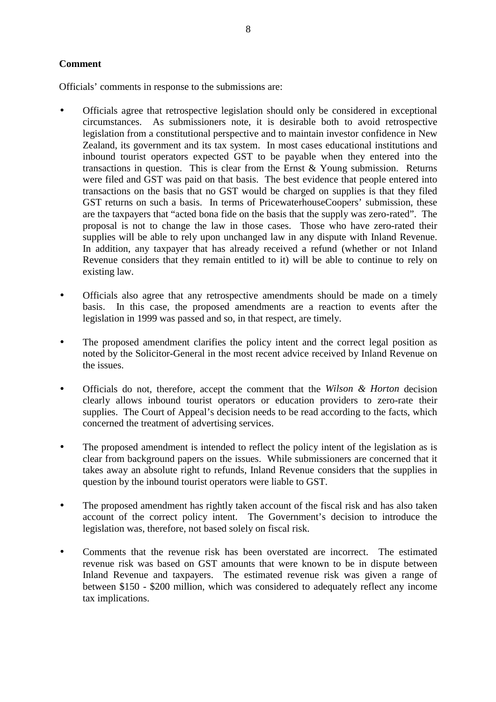# **Comment**

Officials' comments in response to the submissions are:

- Officials agree that retrospective legislation should only be considered in exceptional circumstances. As submissioners note, it is desirable both to avoid retrospective legislation from a constitutional perspective and to maintain investor confidence in New Zealand, its government and its tax system. In most cases educational institutions and inbound tourist operators expected GST to be payable when they entered into the transactions in question. This is clear from the Ernst & Young submission. Returns were filed and GST was paid on that basis. The best evidence that people entered into transactions on the basis that no GST would be charged on supplies is that they filed GST returns on such a basis. In terms of PricewaterhouseCoopers' submission, these are the taxpayers that "acted bona fide on the basis that the supply was zero-rated". The proposal is not to change the law in those cases. Those who have zero-rated their supplies will be able to rely upon unchanged law in any dispute with Inland Revenue. In addition, any taxpayer that has already received a refund (whether or not Inland Revenue considers that they remain entitled to it) will be able to continue to rely on existing law.
- Officials also agree that any retrospective amendments should be made on a timely basis. In this case, the proposed amendments are a reaction to events after the legislation in 1999 was passed and so, in that respect, are timely.
- The proposed amendment clarifies the policy intent and the correct legal position as noted by the Solicitor-General in the most recent advice received by Inland Revenue on the issues.
- Officials do not, therefore, accept the comment that the *Wilson & Horton* decision clearly allows inbound tourist operators or education providers to zero-rate their supplies. The Court of Appeal's decision needs to be read according to the facts, which concerned the treatment of advertising services.
- The proposed amendment is intended to reflect the policy intent of the legislation as is clear from background papers on the issues. While submissioners are concerned that it takes away an absolute right to refunds, Inland Revenue considers that the supplies in question by the inbound tourist operators were liable to GST.
- The proposed amendment has rightly taken account of the fiscal risk and has also taken account of the correct policy intent. The Government's decision to introduce the legislation was, therefore, not based solely on fiscal risk.
- Comments that the revenue risk has been overstated are incorrect. The estimated revenue risk was based on GST amounts that were known to be in dispute between Inland Revenue and taxpayers. The estimated revenue risk was given a range of between \$150 - \$200 million, which was considered to adequately reflect any income tax implications.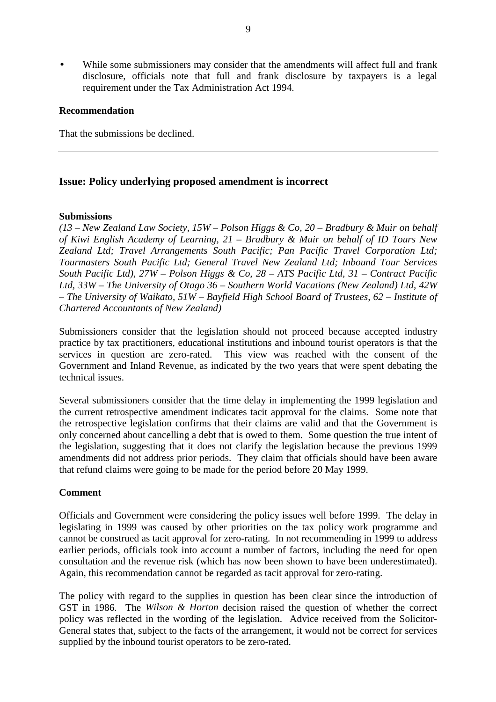While some submissioners may consider that the amendments will affect full and frank disclosure, officials note that full and frank disclosure by taxpayers is a legal requirement under the Tax Administration Act 1994.

# **Recommendation**

That the submissions be declined.

# **Issue: Policy underlying proposed amendment is incorrect**

#### **Submissions**

*(13 – New Zealand Law Society, 15W – Polson Higgs & Co, 20 – Bradbury & Muir on behalf of Kiwi English Academy of Learning, 21 – Bradbury & Muir on behalf of ID Tours New Zealand Ltd; Travel Arrangements South Pacific; Pan Pacific Travel Corporation Ltd; Tourmasters South Pacific Ltd; General Travel New Zealand Ltd; Inbound Tour Services South Pacific Ltd), 27W – Polson Higgs & Co, 28 – ATS Pacific Ltd, 31 – Contract Pacific Ltd, 33W – The University of Otago 36 – Southern World Vacations (New Zealand) Ltd, 42W – The University of Waikato, 51W – Bayfield High School Board of Trustees, 62 – Institute of Chartered Accountants of New Zealand)*

Submissioners consider that the legislation should not proceed because accepted industry practice by tax practitioners, educational institutions and inbound tourist operators is that the services in question are zero-rated. This view was reached with the consent of the Government and Inland Revenue, as indicated by the two years that were spent debating the technical issues.

Several submissioners consider that the time delay in implementing the 1999 legislation and the current retrospective amendment indicates tacit approval for the claims. Some note that the retrospective legislation confirms that their claims are valid and that the Government is only concerned about cancelling a debt that is owed to them. Some question the true intent of the legislation, suggesting that it does not clarify the legislation because the previous 1999 amendments did not address prior periods. They claim that officials should have been aware that refund claims were going to be made for the period before 20 May 1999.

# **Comment**

Officials and Government were considering the policy issues well before 1999. The delay in legislating in 1999 was caused by other priorities on the tax policy work programme and cannot be construed as tacit approval for zero-rating. In not recommending in 1999 to address earlier periods, officials took into account a number of factors, including the need for open consultation and the revenue risk (which has now been shown to have been underestimated). Again, this recommendation cannot be regarded as tacit approval for zero-rating.

The policy with regard to the supplies in question has been clear since the introduction of GST in 1986. The *Wilson & Horton* decision raised the question of whether the correct policy was reflected in the wording of the legislation. Advice received from the Solicitor-General states that, subject to the facts of the arrangement, it would not be correct for services supplied by the inbound tourist operators to be zero-rated.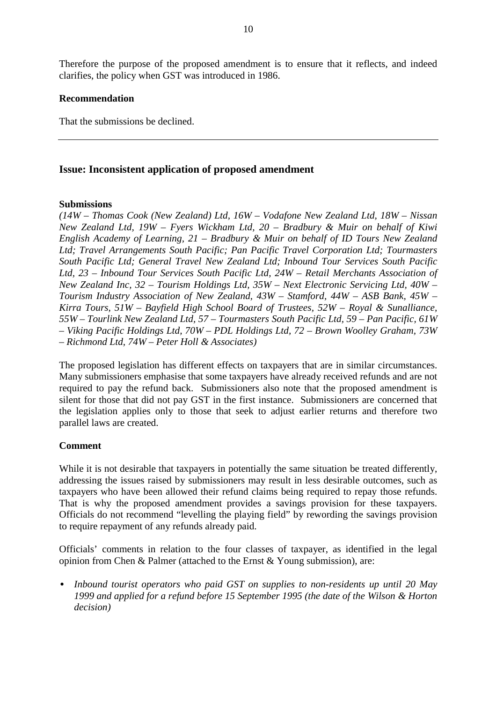Therefore the purpose of the proposed amendment is to ensure that it reflects, and indeed clarifies, the policy when GST was introduced in 1986.

## **Recommendation**

That the submissions be declined.

# **Issue: Inconsistent application of proposed amendment**

## **Submissions**

*(14W – Thomas Cook (New Zealand) Ltd, 16W – Vodafone New Zealand Ltd, 18W – Nissan New Zealand Ltd, 19W – Fyers Wickham Ltd, 20 – Bradbury & Muir on behalf of Kiwi English Academy of Learning, 21 – Bradbury & Muir on behalf of ID Tours New Zealand Ltd; Travel Arrangements South Pacific; Pan Pacific Travel Corporation Ltd; Tourmasters South Pacific Ltd; General Travel New Zealand Ltd; Inbound Tour Services South Pacific Ltd, 23 – Inbound Tour Services South Pacific Ltd, 24W – Retail Merchants Association of New Zealand Inc, 32 – Tourism Holdings Ltd, 35W – Next Electronic Servicing Ltd, 40W – Tourism Industry Association of New Zealand, 43W – Stamford, 44W – ASB Bank, 45W – Kirra Tours, 51W – Bayfield High School Board of Trustees, 52W – Royal & Sunalliance, 55W – Tourlink New Zealand Ltd, 57 – Tourmasters South Pacific Ltd, 59 – Pan Pacific, 61W – Viking Pacific Holdings Ltd, 70W – PDL Holdings Ltd, 72 – Brown Woolley Graham, 73W – Richmond Ltd, 74W – Peter Holl & Associates)*

The proposed legislation has different effects on taxpayers that are in similar circumstances. Many submissioners emphasise that some taxpayers have already received refunds and are not required to pay the refund back. Submissioners also note that the proposed amendment is silent for those that did not pay GST in the first instance. Submissioners are concerned that the legislation applies only to those that seek to adjust earlier returns and therefore two parallel laws are created.

# **Comment**

While it is not desirable that taxpayers in potentially the same situation be treated differently, addressing the issues raised by submissioners may result in less desirable outcomes, such as taxpayers who have been allowed their refund claims being required to repay those refunds. That is why the proposed amendment provides a savings provision for these taxpayers. Officials do not recommend "levelling the playing field" by rewording the savings provision to require repayment of any refunds already paid.

Officials' comments in relation to the four classes of taxpayer, as identified in the legal opinion from Chen & Palmer (attached to the Ernst & Young submission), are:

• *Inbound tourist operators who paid GST on supplies to non-residents up until 20 May 1999 and applied for a refund before 15 September 1995 (the date of the Wilson & Horton decision)*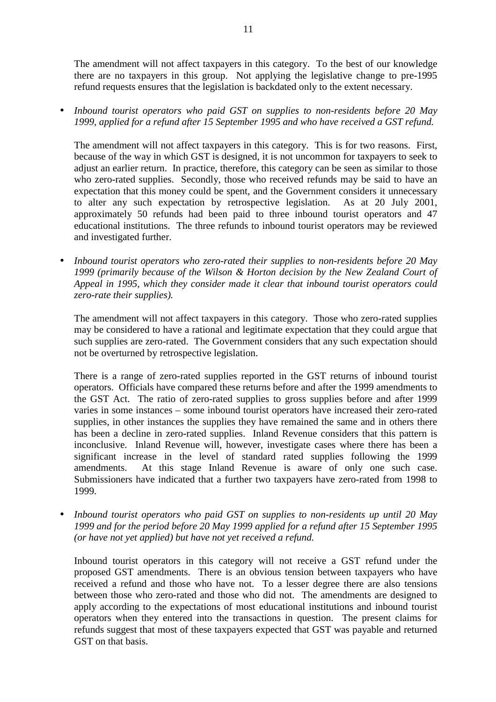The amendment will not affect taxpayers in this category. To the best of our knowledge there are no taxpayers in this group. Not applying the legislative change to pre-1995 refund requests ensures that the legislation is backdated only to the extent necessary.

• *Inbound tourist operators who paid GST on supplies to non-residents before 20 May 1999, applied for a refund after 15 September 1995 and who have received a GST refund.*

The amendment will not affect taxpayers in this category. This is for two reasons. First, because of the way in which GST is designed, it is not uncommon for taxpayers to seek to adjust an earlier return. In practice, therefore, this category can be seen as similar to those who zero-rated supplies. Secondly, those who received refunds may be said to have an expectation that this money could be spent, and the Government considers it unnecessary to alter any such expectation by retrospective legislation. As at 20 July 2001, approximately 50 refunds had been paid to three inbound tourist operators and 47 educational institutions. The three refunds to inbound tourist operators may be reviewed and investigated further.

• *Inbound tourist operators who zero-rated their supplies to non-residents before 20 May 1999 (primarily because of the Wilson & Horton decision by the New Zealand Court of Appeal in 1995, which they consider made it clear that inbound tourist operators could zero-rate their supplies).*

The amendment will not affect taxpayers in this category. Those who zero-rated supplies may be considered to have a rational and legitimate expectation that they could argue that such supplies are zero-rated. The Government considers that any such expectation should not be overturned by retrospective legislation.

There is a range of zero-rated supplies reported in the GST returns of inbound tourist operators. Officials have compared these returns before and after the 1999 amendments to the GST Act. The ratio of zero-rated supplies to gross supplies before and after 1999 varies in some instances – some inbound tourist operators have increased their zero-rated supplies, in other instances the supplies they have remained the same and in others there has been a decline in zero-rated supplies. Inland Revenue considers that this pattern is inconclusive. Inland Revenue will, however, investigate cases where there has been a significant increase in the level of standard rated supplies following the 1999 amendments. At this stage Inland Revenue is aware of only one such case. Submissioners have indicated that a further two taxpayers have zero-rated from 1998 to 1999.

• *Inbound tourist operators who paid GST on supplies to non-residents up until 20 May 1999 and for the period before 20 May 1999 applied for a refund after 15 September 1995 (or have not yet applied) but have not yet received a refund.*

Inbound tourist operators in this category will not receive a GST refund under the proposed GST amendments. There is an obvious tension between taxpayers who have received a refund and those who have not. To a lesser degree there are also tensions between those who zero-rated and those who did not. The amendments are designed to apply according to the expectations of most educational institutions and inbound tourist operators when they entered into the transactions in question. The present claims for refunds suggest that most of these taxpayers expected that GST was payable and returned GST on that basis.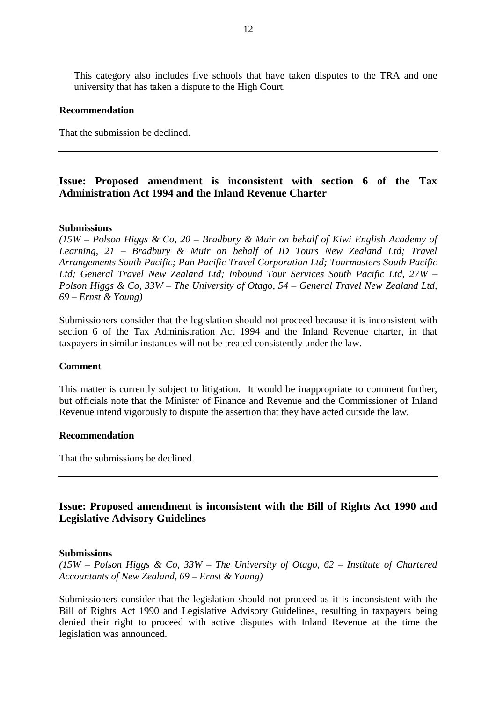This category also includes five schools that have taken disputes to the TRA and one university that has taken a dispute to the High Court.

#### **Recommendation**

That the submission be declined.

# **Issue: Proposed amendment is inconsistent with section 6 of the Tax Administration Act 1994 and the Inland Revenue Charter**

#### **Submissions**

*(15W – Polson Higgs & Co, 20 – Bradbury & Muir on behalf of Kiwi English Academy of Learning, 21 – Bradbury & Muir on behalf of ID Tours New Zealand Ltd; Travel Arrangements South Pacific; Pan Pacific Travel Corporation Ltd; Tourmasters South Pacific Ltd; General Travel New Zealand Ltd; Inbound Tour Services South Pacific Ltd, 27W – Polson Higgs & Co, 33W – The University of Otago, 54 – General Travel New Zealand Ltd, 69 – Ernst & Young)*

Submissioners consider that the legislation should not proceed because it is inconsistent with section 6 of the Tax Administration Act 1994 and the Inland Revenue charter, in that taxpayers in similar instances will not be treated consistently under the law.

#### **Comment**

This matter is currently subject to litigation. It would be inappropriate to comment further, but officials note that the Minister of Finance and Revenue and the Commissioner of Inland Revenue intend vigorously to dispute the assertion that they have acted outside the law.

#### **Recommendation**

That the submissions be declined.

# **Issue: Proposed amendment is inconsistent with the Bill of Rights Act 1990 and Legislative Advisory Guidelines**

#### **Submissions**

*(15W – Polson Higgs & Co, 33W – The University of Otago, 62 – Institute of Chartered Accountants of New Zealand, 69 – Ernst & Young)*

Submissioners consider that the legislation should not proceed as it is inconsistent with the Bill of Rights Act 1990 and Legislative Advisory Guidelines, resulting in taxpayers being denied their right to proceed with active disputes with Inland Revenue at the time the legislation was announced.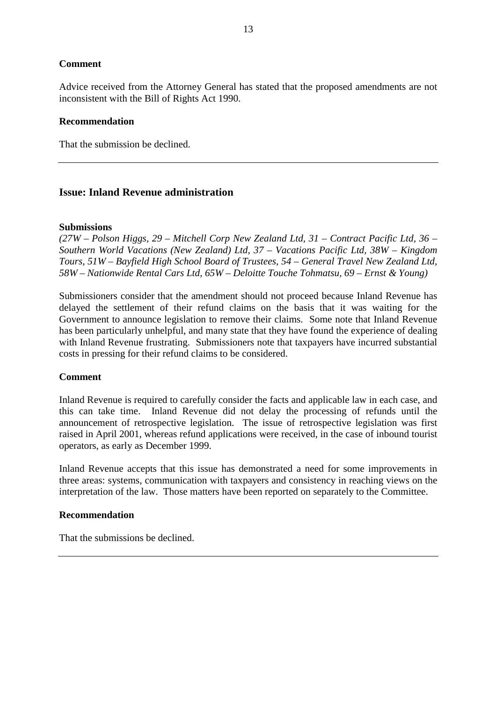# **Comment**

Advice received from the Attorney General has stated that the proposed amendments are not inconsistent with the Bill of Rights Act 1990.

# **Recommendation**

That the submission be declined.

# **Issue: Inland Revenue administration**

#### **Submissions**

*(27W – Polson Higgs, 29 – Mitchell Corp New Zealand Ltd, 31 – Contract Pacific Ltd, 36 – Southern World Vacations (New Zealand) Ltd, 37 – Vacations Pacific Ltd, 38W – Kingdom Tours, 51W – Bayfield High School Board of Trustees, 54 – General Travel New Zealand Ltd, 58W – Nationwide Rental Cars Ltd, 65W – Deloitte Touche Tohmatsu, 69 – Ernst & Young)*

Submissioners consider that the amendment should not proceed because Inland Revenue has delayed the settlement of their refund claims on the basis that it was waiting for the Government to announce legislation to remove their claims. Some note that Inland Revenue has been particularly unhelpful, and many state that they have found the experience of dealing with Inland Revenue frustrating. Submissioners note that taxpayers have incurred substantial costs in pressing for their refund claims to be considered.

# **Comment**

Inland Revenue is required to carefully consider the facts and applicable law in each case, and this can take time. Inland Revenue did not delay the processing of refunds until the announcement of retrospective legislation. The issue of retrospective legislation was first raised in April 2001, whereas refund applications were received, in the case of inbound tourist operators, as early as December 1999.

Inland Revenue accepts that this issue has demonstrated a need for some improvements in three areas: systems, communication with taxpayers and consistency in reaching views on the interpretation of the law. Those matters have been reported on separately to the Committee.

# **Recommendation**

That the submissions be declined.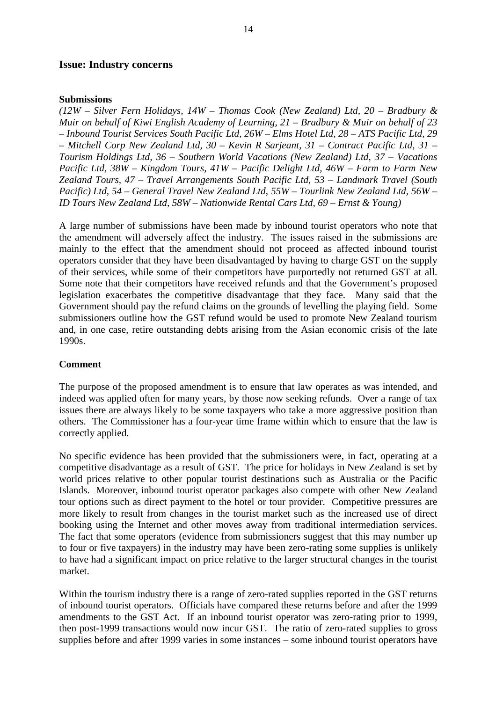#### **Issue: Industry concerns**

#### **Submissions**

*(12W – Silver Fern Holidays, 14W – Thomas Cook (New Zealand) Ltd, 20 – Bradbury & Muir on behalf of Kiwi English Academy of Learning, 21 – Bradbury & Muir on behalf of 23 – Inbound Tourist Services South Pacific Ltd, 26W – Elms Hotel Ltd, 28 – ATS Pacific Ltd, 29 – Mitchell Corp New Zealand Ltd, 30 – Kevin R Sarjeant, 31 – Contract Pacific Ltd, 31 – Tourism Holdings Ltd, 36 – Southern World Vacations (New Zealand) Ltd, 37 – Vacations Pacific Ltd, 38W – Kingdom Tours, 41W – Pacific Delight Ltd, 46W – Farm to Farm New Zealand Tours, 47 – Travel Arrangements South Pacific Ltd, 53 – Landmark Travel (South Pacific) Ltd, 54 – General Travel New Zealand Ltd, 55W – Tourlink New Zealand Ltd, 56W – ID Tours New Zealand Ltd, 58W – Nationwide Rental Cars Ltd, 69 – Ernst & Young)*

A large number of submissions have been made by inbound tourist operators who note that the amendment will adversely affect the industry. The issues raised in the submissions are mainly to the effect that the amendment should not proceed as affected inbound tourist operators consider that they have been disadvantaged by having to charge GST on the supply of their services, while some of their competitors have purportedly not returned GST at all. Some note that their competitors have received refunds and that the Government's proposed legislation exacerbates the competitive disadvantage that they face. Many said that the Government should pay the refund claims on the grounds of levelling the playing field. Some submissioners outline how the GST refund would be used to promote New Zealand tourism and, in one case, retire outstanding debts arising from the Asian economic crisis of the late 1990s.

#### **Comment**

The purpose of the proposed amendment is to ensure that law operates as was intended, and indeed was applied often for many years, by those now seeking refunds. Over a range of tax issues there are always likely to be some taxpayers who take a more aggressive position than others. The Commissioner has a four-year time frame within which to ensure that the law is correctly applied.

No specific evidence has been provided that the submissioners were, in fact, operating at a competitive disadvantage as a result of GST. The price for holidays in New Zealand is set by world prices relative to other popular tourist destinations such as Australia or the Pacific Islands. Moreover, inbound tourist operator packages also compete with other New Zealand tour options such as direct payment to the hotel or tour provider. Competitive pressures are more likely to result from changes in the tourist market such as the increased use of direct booking using the Internet and other moves away from traditional intermediation services. The fact that some operators (evidence from submissioners suggest that this may number up to four or five taxpayers) in the industry may have been zero-rating some supplies is unlikely to have had a significant impact on price relative to the larger structural changes in the tourist market.

Within the tourism industry there is a range of zero-rated supplies reported in the GST returns of inbound tourist operators. Officials have compared these returns before and after the 1999 amendments to the GST Act. If an inbound tourist operator was zero-rating prior to 1999, then post-1999 transactions would now incur GST. The ratio of zero-rated supplies to gross supplies before and after 1999 varies in some instances – some inbound tourist operators have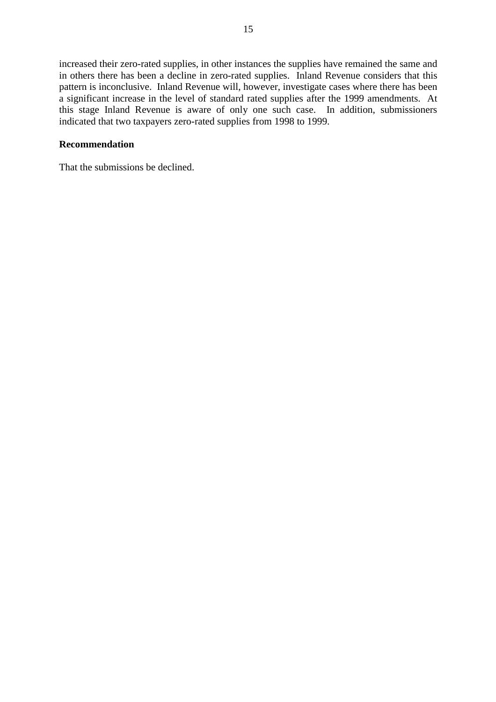increased their zero-rated supplies, in other instances the supplies have remained the same and in others there has been a decline in zero-rated supplies. Inland Revenue considers that this pattern is inconclusive. Inland Revenue will, however, investigate cases where there has been a significant increase in the level of standard rated supplies after the 1999 amendments. At this stage Inland Revenue is aware of only one such case. In addition, submissioners indicated that two taxpayers zero-rated supplies from 1998 to 1999.

# **Recommendation**

That the submissions be declined.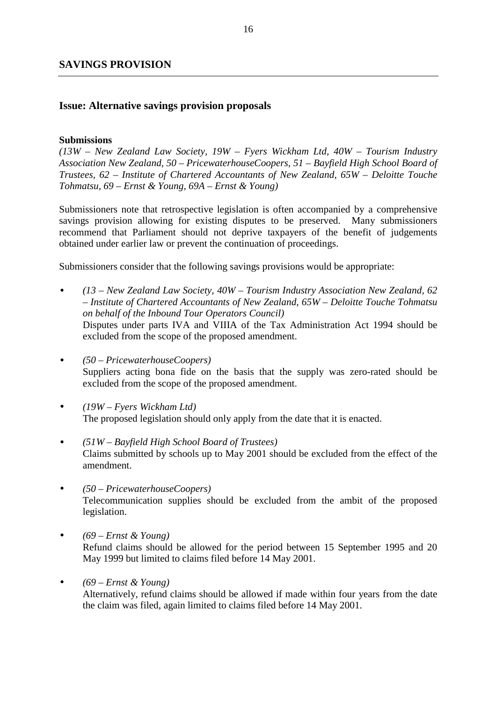# **SAVINGS PROVISION**

# **Issue: Alternative savings provision proposals**

## **Submissions**

*(13W – New Zealand Law Society, 19W – Fyers Wickham Ltd, 40W – Tourism Industry Association New Zealand, 50 – PricewaterhouseCoopers, 51 – Bayfield High School Board of Trustees, 62 – Institute of Chartered Accountants of New Zealand, 65W – Deloitte Touche Tohmatsu, 69 – Ernst & Young, 69A – Ernst & Young)*

Submissioners note that retrospective legislation is often accompanied by a comprehensive savings provision allowing for existing disputes to be preserved. Many submissioners recommend that Parliament should not deprive taxpayers of the benefit of judgements obtained under earlier law or prevent the continuation of proceedings.

Submissioners consider that the following savings provisions would be appropriate:

- *(13 New Zealand Law Society, 40W Tourism Industry Association New Zealand, 62 – Institute of Chartered Accountants of New Zealand, 65W – Deloitte Touche Tohmatsu on behalf of the Inbound Tour Operators Council)* Disputes under parts IVA and VIIIA of the Tax Administration Act 1994 should be excluded from the scope of the proposed amendment.
- *(50 PricewaterhouseCoopers)* Suppliers acting bona fide on the basis that the supply was zero-rated should be excluded from the scope of the proposed amendment.
- *(19W Fyers Wickham Ltd)* The proposed legislation should only apply from the date that it is enacted.
- *(51W Bayfield High School Board of Trustees)* Claims submitted by schools up to May 2001 should be excluded from the effect of the amendment.
- *(50 PricewaterhouseCoopers)* Telecommunication supplies should be excluded from the ambit of the proposed legislation.
- *(69 Ernst & Young)* Refund claims should be allowed for the period between 15 September 1995 and 20 May 1999 but limited to claims filed before 14 May 2001.
- *(69 Ernst & Young)* Alternatively, refund claims should be allowed if made within four years from the date the claim was filed, again limited to claims filed before 14 May 2001.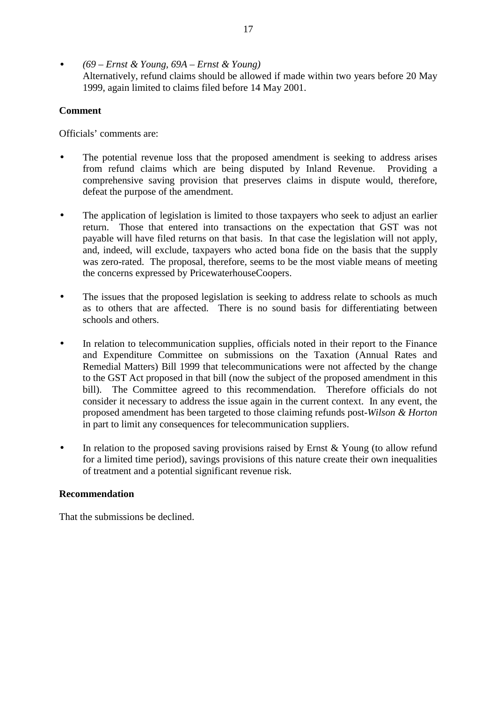• *(69 – Ernst & Young, 69A – Ernst & Young)* Alternatively, refund claims should be allowed if made within two years before 20 May 1999, again limited to claims filed before 14 May 2001.

# **Comment**

Officials' comments are:

- The potential revenue loss that the proposed amendment is seeking to address arises from refund claims which are being disputed by Inland Revenue. Providing a comprehensive saving provision that preserves claims in dispute would, therefore, defeat the purpose of the amendment.
- The application of legislation is limited to those taxpayers who seek to adjust an earlier return. Those that entered into transactions on the expectation that GST was not payable will have filed returns on that basis. In that case the legislation will not apply, and, indeed, will exclude, taxpayers who acted bona fide on the basis that the supply was zero-rated. The proposal, therefore, seems to be the most viable means of meeting the concerns expressed by PricewaterhouseCoopers.
- The issues that the proposed legislation is seeking to address relate to schools as much as to others that are affected. There is no sound basis for differentiating between schools and others.
- In relation to telecommunication supplies, officials noted in their report to the Finance and Expenditure Committee on submissions on the Taxation (Annual Rates and Remedial Matters) Bill 1999 that telecommunications were not affected by the change to the GST Act proposed in that bill (now the subject of the proposed amendment in this bill). The Committee agreed to this recommendation. Therefore officials do not consider it necessary to address the issue again in the current context. In any event, the proposed amendment has been targeted to those claiming refunds post-*Wilson & Horton* in part to limit any consequences for telecommunication suppliers.
- In relation to the proposed saving provisions raised by Ernst & Young (to allow refund for a limited time period), savings provisions of this nature create their own inequalities of treatment and a potential significant revenue risk.

# **Recommendation**

That the submissions be declined.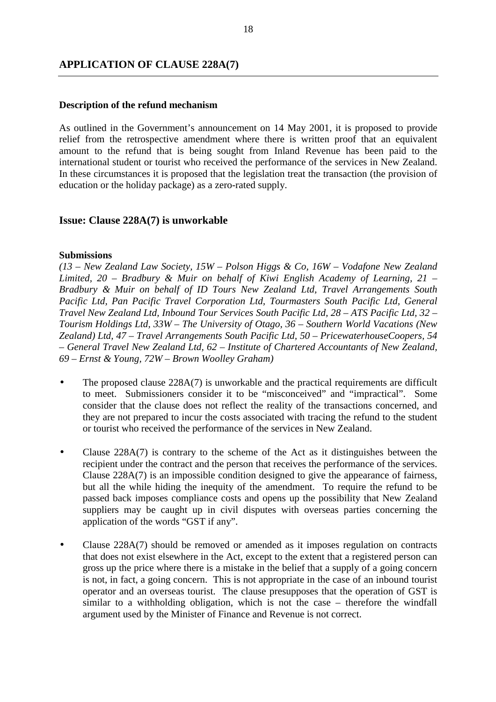# **APPLICATION OF CLAUSE 228A(7)**

## **Description of the refund mechanism**

As outlined in the Government's announcement on 14 May 2001, it is proposed to provide relief from the retrospective amendment where there is written proof that an equivalent amount to the refund that is being sought from Inland Revenue has been paid to the international student or tourist who received the performance of the services in New Zealand. In these circumstances it is proposed that the legislation treat the transaction (the provision of education or the holiday package) as a zero-rated supply.

# **Issue: Clause 228A(7) is unworkable**

#### **Submissions**

*(13 – New Zealand Law Society, 15W – Polson Higgs & Co, 16W – Vodafone New Zealand Limited, 20 – Bradbury & Muir on behalf of Kiwi English Academy of Learning, 21 – Bradbury & Muir on behalf of ID Tours New Zealand Ltd, Travel Arrangements South Pacific Ltd, Pan Pacific Travel Corporation Ltd, Tourmasters South Pacific Ltd, General Travel New Zealand Ltd, Inbound Tour Services South Pacific Ltd, 28 – ATS Pacific Ltd, 32 – Tourism Holdings Ltd, 33W – The University of Otago, 36 – Southern World Vacations (New Zealand) Ltd, 47 – Travel Arrangements South Pacific Ltd, 50 – PricewaterhouseCoopers, 54 – General Travel New Zealand Ltd, 62 – Institute of Chartered Accountants of New Zealand, 69 – Ernst & Young, 72W – Brown Woolley Graham)*

- The proposed clause 228A(7) is unworkable and the practical requirements are difficult to meet. Submissioners consider it to be "misconceived" and "impractical". Some consider that the clause does not reflect the reality of the transactions concerned, and they are not prepared to incur the costs associated with tracing the refund to the student or tourist who received the performance of the services in New Zealand.
- Clause 228A(7) is contrary to the scheme of the Act as it distinguishes between the recipient under the contract and the person that receives the performance of the services. Clause 228A(7) is an impossible condition designed to give the appearance of fairness, but all the while hiding the inequity of the amendment. To require the refund to be passed back imposes compliance costs and opens up the possibility that New Zealand suppliers may be caught up in civil disputes with overseas parties concerning the application of the words "GST if any".
- Clause 228A(7) should be removed or amended as it imposes regulation on contracts that does not exist elsewhere in the Act, except to the extent that a registered person can gross up the price where there is a mistake in the belief that a supply of a going concern is not, in fact, a going concern. This is not appropriate in the case of an inbound tourist operator and an overseas tourist. The clause presupposes that the operation of GST is similar to a withholding obligation, which is not the case – therefore the windfall argument used by the Minister of Finance and Revenue is not correct.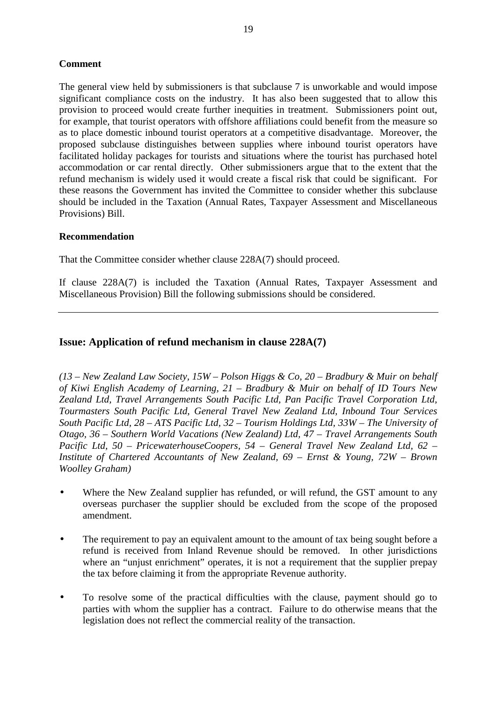# **Comment**

The general view held by submissioners is that subclause 7 is unworkable and would impose significant compliance costs on the industry. It has also been suggested that to allow this provision to proceed would create further inequities in treatment. Submissioners point out, for example, that tourist operators with offshore affiliations could benefit from the measure so as to place domestic inbound tourist operators at a competitive disadvantage. Moreover, the proposed subclause distinguishes between supplies where inbound tourist operators have facilitated holiday packages for tourists and situations where the tourist has purchased hotel accommodation or car rental directly. Other submissioners argue that to the extent that the refund mechanism is widely used it would create a fiscal risk that could be significant. For these reasons the Government has invited the Committee to consider whether this subclause should be included in the Taxation (Annual Rates, Taxpayer Assessment and Miscellaneous Provisions) Bill.

# **Recommendation**

That the Committee consider whether clause 228A(7) should proceed.

If clause 228A(7) is included the Taxation (Annual Rates, Taxpayer Assessment and Miscellaneous Provision) Bill the following submissions should be considered.

# **Issue: Application of refund mechanism in clause 228A(7)**

*(13 – New Zealand Law Society, 15W – Polson Higgs & Co, 20 – Bradbury & Muir on behalf of Kiwi English Academy of Learning, 21 – Bradbury & Muir on behalf of ID Tours New Zealand Ltd, Travel Arrangements South Pacific Ltd, Pan Pacific Travel Corporation Ltd, Tourmasters South Pacific Ltd, General Travel New Zealand Ltd, Inbound Tour Services South Pacific Ltd, 28 – ATS Pacific Ltd, 32 – Tourism Holdings Ltd, 33W – The University of Otago, 36 – Southern World Vacations (New Zealand) Ltd, 47 – Travel Arrangements South Pacific Ltd, 50 – PricewaterhouseCoopers, 54 – General Travel New Zealand Ltd, 62 – Institute of Chartered Accountants of New Zealand, 69 – Ernst & Young, 72W – Brown Woolley Graham)*

- Where the New Zealand supplier has refunded, or will refund, the GST amount to any overseas purchaser the supplier should be excluded from the scope of the proposed amendment.
- The requirement to pay an equivalent amount to the amount of tax being sought before a refund is received from Inland Revenue should be removed. In other jurisdictions where an "unjust enrichment" operates, it is not a requirement that the supplier prepay the tax before claiming it from the appropriate Revenue authority.
- To resolve some of the practical difficulties with the clause, payment should go to parties with whom the supplier has a contract. Failure to do otherwise means that the legislation does not reflect the commercial reality of the transaction.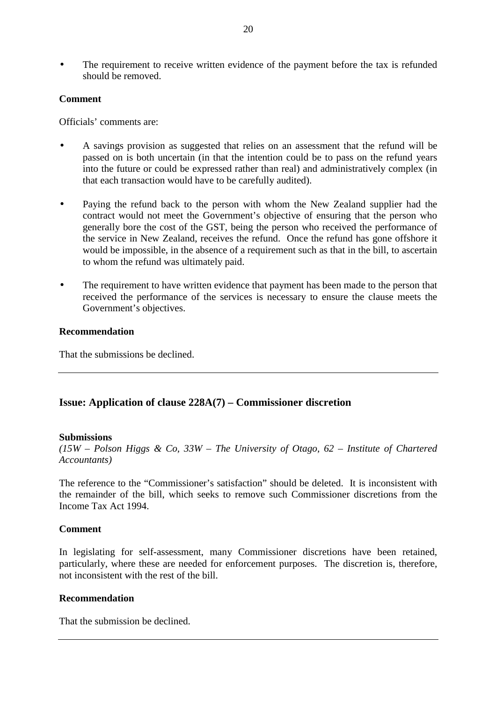• The requirement to receive written evidence of the payment before the tax is refunded should be removed.

## **Comment**

Officials' comments are:

- A savings provision as suggested that relies on an assessment that the refund will be passed on is both uncertain (in that the intention could be to pass on the refund years into the future or could be expressed rather than real) and administratively complex (in that each transaction would have to be carefully audited).
- Paying the refund back to the person with whom the New Zealand supplier had the contract would not meet the Government's objective of ensuring that the person who generally bore the cost of the GST, being the person who received the performance of the service in New Zealand, receives the refund. Once the refund has gone offshore it would be impossible, in the absence of a requirement such as that in the bill, to ascertain to whom the refund was ultimately paid.
- The requirement to have written evidence that payment has been made to the person that received the performance of the services is necessary to ensure the clause meets the Government's objectives.

## **Recommendation**

That the submissions be declined.

# **Issue: Application of clause 228A(7) – Commissioner discretion**

#### **Submissions**

*(15W – Polson Higgs & Co, 33W – The University of Otago, 62 – Institute of Chartered Accountants)*

The reference to the "Commissioner's satisfaction" should be deleted. It is inconsistent with the remainder of the bill, which seeks to remove such Commissioner discretions from the Income Tax Act 1994.

#### **Comment**

In legislating for self-assessment, many Commissioner discretions have been retained, particularly, where these are needed for enforcement purposes. The discretion is, therefore, not inconsistent with the rest of the bill.

## **Recommendation**

That the submission be declined.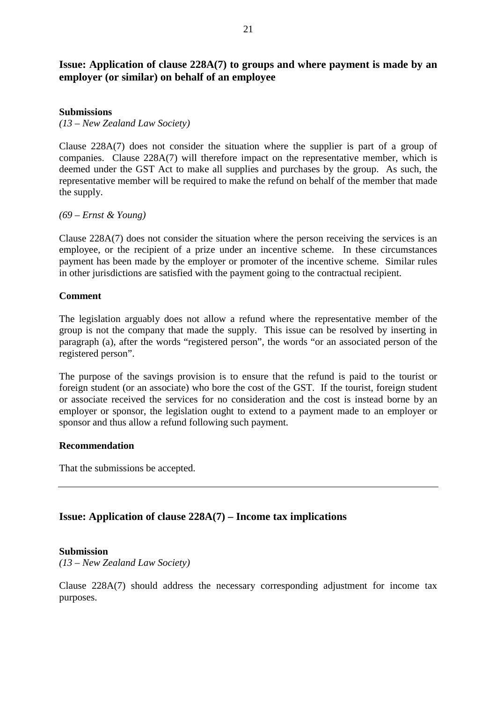# **Issue: Application of clause 228A(7) to groups and where payment is made by an employer (or similar) on behalf of an employee**

## **Submissions**

*(13 – New Zealand Law Society)*

Clause 228A(7) does not consider the situation where the supplier is part of a group of companies. Clause 228A(7) will therefore impact on the representative member, which is deemed under the GST Act to make all supplies and purchases by the group. As such, the representative member will be required to make the refund on behalf of the member that made the supply.

*(69 – Ernst & Young)*

Clause 228A(7) does not consider the situation where the person receiving the services is an employee, or the recipient of a prize under an incentive scheme. In these circumstances payment has been made by the employer or promoter of the incentive scheme. Similar rules in other jurisdictions are satisfied with the payment going to the contractual recipient.

## **Comment**

The legislation arguably does not allow a refund where the representative member of the group is not the company that made the supply. This issue can be resolved by inserting in paragraph (a), after the words "registered person", the words "or an associated person of the registered person".

The purpose of the savings provision is to ensure that the refund is paid to the tourist or foreign student (or an associate) who bore the cost of the GST. If the tourist, foreign student or associate received the services for no consideration and the cost is instead borne by an employer or sponsor, the legislation ought to extend to a payment made to an employer or sponsor and thus allow a refund following such payment.

# **Recommendation**

That the submissions be accepted.

# **Issue: Application of clause 228A(7) – Income tax implications**

#### **Submission**

*(13 – New Zealand Law Society)*

Clause 228A(7) should address the necessary corresponding adjustment for income tax purposes.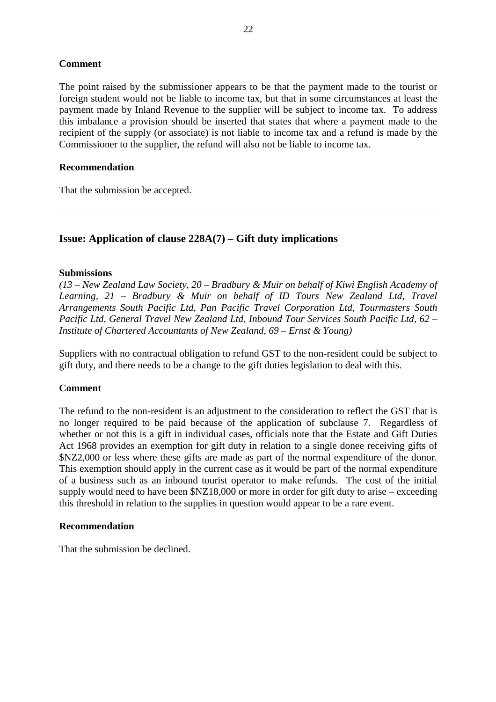# **Comment**

The point raised by the submissioner appears to be that the payment made to the tourist or foreign student would not be liable to income tax, but that in some circumstances at least the payment made by Inland Revenue to the supplier will be subject to income tax. To address this imbalance a provision should be inserted that states that where a payment made to the recipient of the supply (or associate) is not liable to income tax and a refund is made by the Commissioner to the supplier, the refund will also not be liable to income tax.

# **Recommendation**

That the submission be accepted.

# **Issue: Application of clause 228A(7) – Gift duty implications**

# **Submissions**

*(13 – New Zealand Law Society, 20 – Bradbury & Muir on behalf of Kiwi English Academy of Learning, 21 – Bradbury & Muir on behalf of ID Tours New Zealand Ltd, Travel Arrangements South Pacific Ltd, Pan Pacific Travel Corporation Ltd, Tourmasters South Pacific Ltd, General Travel New Zealand Ltd, Inbound Tour Services South Pacific Ltd, 62 – Institute of Chartered Accountants of New Zealand, 69 – Ernst & Young)*

Suppliers with no contractual obligation to refund GST to the non-resident could be subject to gift duty, and there needs to be a change to the gift duties legislation to deal with this.

# **Comment**

The refund to the non-resident is an adjustment to the consideration to reflect the GST that is no longer required to be paid because of the application of subclause 7. Regardless of whether or not this is a gift in individual cases, officials note that the Estate and Gift Duties Act 1968 provides an exemption for gift duty in relation to a single donee receiving gifts of \$NZ2,000 or less where these gifts are made as part of the normal expenditure of the donor. This exemption should apply in the current case as it would be part of the normal expenditure of a business such as an inbound tourist operator to make refunds. The cost of the initial supply would need to have been \$NZ18,000 or more in order for gift duty to arise – exceeding this threshold in relation to the supplies in question would appear to be a rare event.

# **Recommendation**

That the submission be declined.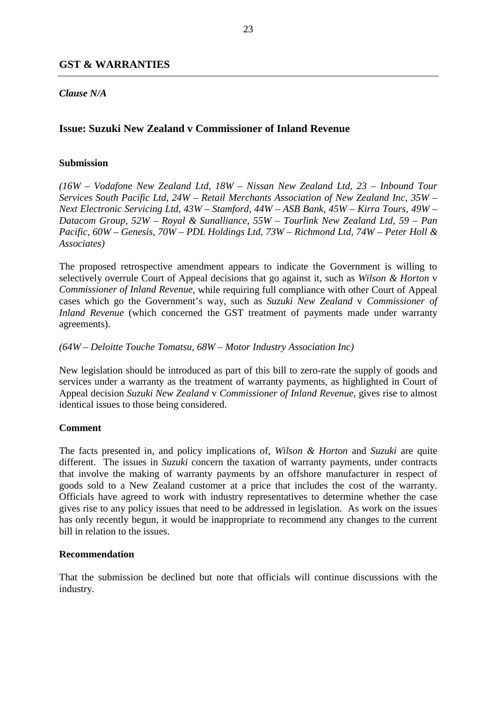# **GST & WARRANTIES**

# *Clause N/A*

# **Issue: Suzuki New Zealand v Commissioner of Inland Revenue**

## **Submission**

*(16W – Vodafone New Zealand Ltd, 18W – Nissan New Zealand Ltd, 23 – Inbound Tour Services South Pacific Ltd, 24W – Retail Merchants Association of New Zealand Inc, 35W – Next Electronic Servicing Ltd, 43W – Stamford, 44W – ASB Bank, 45W – Kirra Tours, 49W – Datacom Group, 52W – Royal & Sunalliance, 55W – Tourlink New Zealand Ltd, 59 – Pan Pacific, 60W – Genesis, 70W – PDL Holdings Ltd, 73W – Richmond Ltd, 74W – Peter Holl & Associates)*

The proposed retrospective amendment appears to indicate the Government is willing to selectively overrule Court of Appeal decisions that go against it, such as *Wilson & Horton* v *Commissioner of Inland Revenue*, while requiring full compliance with other Court of Appeal cases which go the Government's way, such as *Suzuki New Zealand* v *Commissioner of Inland Revenue* (which concerned the GST treatment of payments made under warranty agreements).

## *(64W – Deloitte Touche Tomatsu, 68W – Motor Industry Association Inc)*

New legislation should be introduced as part of this bill to zero-rate the supply of goods and services under a warranty as the treatment of warranty payments, as highlighted in Court of Appeal decision *Suzuki New Zealand* v *Commissioner of Inland Revenue*, gives rise to almost identical issues to those being considered.

# **Comment**

The facts presented in, and policy implications of, *Wilson & Horton* and *Suzuki* are quite different. The issues in *Suzuki* concern the taxation of warranty payments, under contracts that involve the making of warranty payments by an offshore manufacturer in respect of goods sold to a New Zealand customer at a price that includes the cost of the warranty. Officials have agreed to work with industry representatives to determine whether the case gives rise to any policy issues that need to be addressed in legislation. As work on the issues has only recently begun, it would be inappropriate to recommend any changes to the current bill in relation to the issues.

# **Recommendation**

That the submission be declined but note that officials will continue discussions with the industry.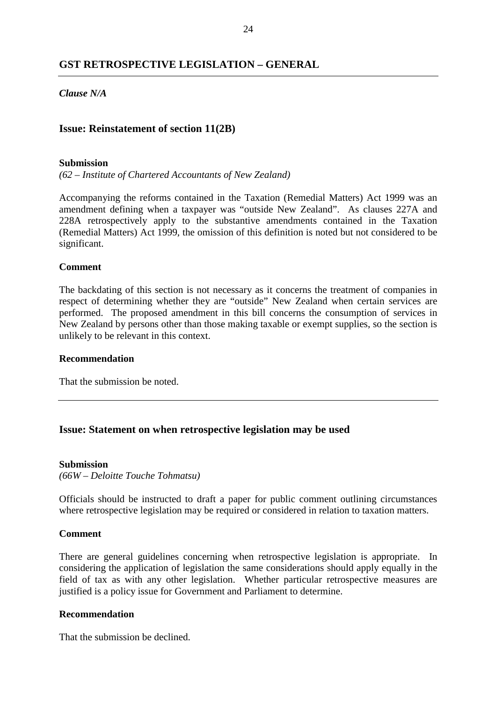# **GST RETROSPECTIVE LEGISLATION – GENERAL**

## *Clause N/A*

## **Issue: Reinstatement of section 11(2B)**

#### **Submission**

*(62 – Institute of Chartered Accountants of New Zealand)*

Accompanying the reforms contained in the Taxation (Remedial Matters) Act 1999 was an amendment defining when a taxpayer was "outside New Zealand". As clauses 227A and 228A retrospectively apply to the substantive amendments contained in the Taxation (Remedial Matters) Act 1999, the omission of this definition is noted but not considered to be significant.

#### **Comment**

The backdating of this section is not necessary as it concerns the treatment of companies in respect of determining whether they are "outside" New Zealand when certain services are performed. The proposed amendment in this bill concerns the consumption of services in New Zealand by persons other than those making taxable or exempt supplies, so the section is unlikely to be relevant in this context.

#### **Recommendation**

That the submission be noted.

#### **Issue: Statement on when retrospective legislation may be used**

#### **Submission**

*(66W – Deloitte Touche Tohmatsu)*

Officials should be instructed to draft a paper for public comment outlining circumstances where retrospective legislation may be required or considered in relation to taxation matters.

## **Comment**

There are general guidelines concerning when retrospective legislation is appropriate. In considering the application of legislation the same considerations should apply equally in the field of tax as with any other legislation. Whether particular retrospective measures are justified is a policy issue for Government and Parliament to determine.

#### **Recommendation**

That the submission be declined.